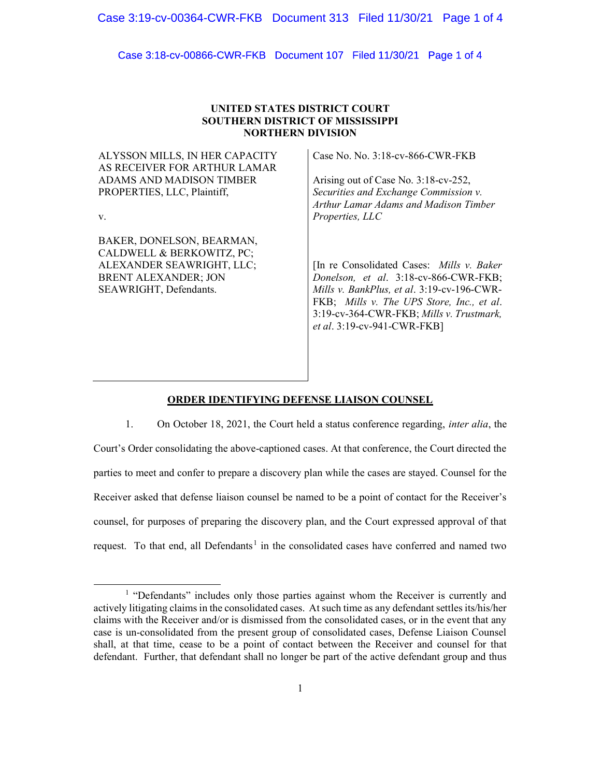Case 3:18-cv-00866-CWR-FKB Document 107 Filed 11/30/21 Page 1 of 4

# UNITED STATES DISTRICT COURT SOUTHERN DISTRICT OF MISSISSIPPI NORTHERN DIVISION

ALYSSON MILLS, IN HER CAPACITY AS RECEIVER FOR ARTHUR LAMAR ADAMS AND MADISON TIMBER PROPERTIES, LLC, Plaintiff,

v.

BAKER, DONELSON, BEARMAN, CALDWELL & BERKOWITZ, PC; ALEXANDER SEAWRIGHT, LLC; BRENT ALEXANDER; JON SEAWRIGHT, Defendants.

Case No. No. 3:18-cv-866-CWR-FKB

Arising out of Case No. 3:18-cv-252, Securities and Exchange Commission v. Arthur Lamar Adams and Madison Timber Properties, LLC

[In re Consolidated Cases: Mills v. Baker Donelson, et al. 3:18-cv-866-CWR-FKB; Mills v. BankPlus, et al. 3:19-cv-196-CWR-FKB; Mills v. The UPS Store, Inc., et al. 3:19-cv-364-CWR-FKB; Mills v. Trustmark, et al. 3:19-cv-941-CWR-FKB]

# ORDER IDENTIFYING DEFENSE LIAISON COUNSEL

1. On October 18, 2021, the Court held a status conference regarding, inter alia, the Court's Order consolidating the above-captioned cases. At that conference, the Court directed the parties to meet and confer to prepare a discovery plan while the cases are stayed. Counsel for the Receiver asked that defense liaison counsel be named to be a point of contact for the Receiver's counsel, for purposes of preparing the discovery plan, and the Court expressed approval of that request. To that end, all Defendants<sup>1</sup> in the consolidated cases have conferred and named two

<sup>&</sup>lt;sup>1</sup> "Defendants" includes only those parties against whom the Receiver is currently and actively litigating claims in the consolidated cases. At such time as any defendant settles its/his/her claims with the Receiver and/or is dismissed from the consolidated cases, or in the event that any case is un-consolidated from the present group of consolidated cases, Defense Liaison Counsel shall, at that time, cease to be a point of contact between the Receiver and counsel for that defendant. Further, that defendant shall no longer be part of the active defendant group and thus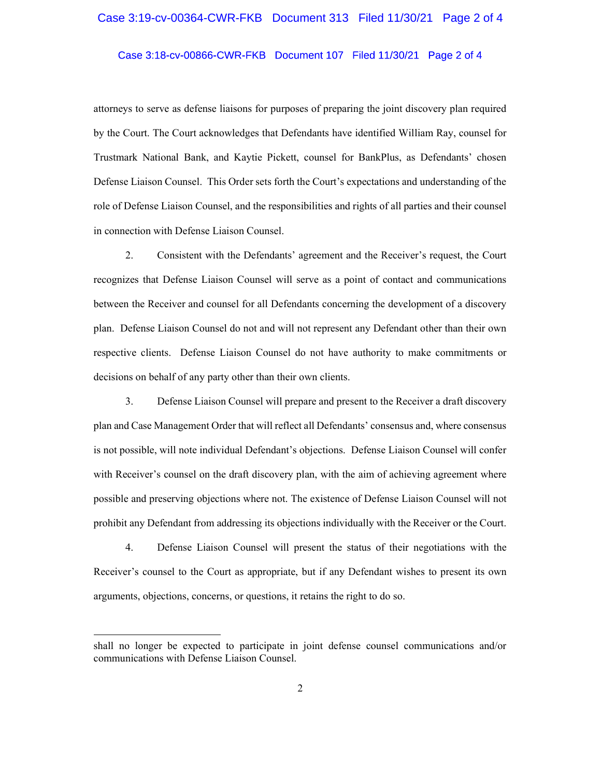## Case 3:19-cv-00364-CWR-FKB Document 313 Filed 11/30/21 Page 2 of 4

Case 3:18-cv-00866-CWR-FKB Document 107 Filed 11/30/21 Page 2 of 4

attorneys to serve as defense liaisons for purposes of preparing the joint discovery plan required by the Court. The Court acknowledges that Defendants have identified William Ray, counsel for Trustmark National Bank, and Kaytie Pickett, counsel for BankPlus, as Defendants' chosen Defense Liaison Counsel. This Order sets forth the Court's expectations and understanding of the role of Defense Liaison Counsel, and the responsibilities and rights of all parties and their counsel in connection with Defense Liaison Counsel.

2. Consistent with the Defendants' agreement and the Receiver's request, the Court recognizes that Defense Liaison Counsel will serve as a point of contact and communications between the Receiver and counsel for all Defendants concerning the development of a discovery plan. Defense Liaison Counsel do not and will not represent any Defendant other than their own respective clients. Defense Liaison Counsel do not have authority to make commitments or decisions on behalf of any party other than their own clients.

3. Defense Liaison Counsel will prepare and present to the Receiver a draft discovery plan and Case Management Order that will reflect all Defendants' consensus and, where consensus is not possible, will note individual Defendant's objections. Defense Liaison Counsel will confer with Receiver's counsel on the draft discovery plan, with the aim of achieving agreement where possible and preserving objections where not. The existence of Defense Liaison Counsel will not prohibit any Defendant from addressing its objections individually with the Receiver or the Court.

4. Defense Liaison Counsel will present the status of their negotiations with the Receiver's counsel to the Court as appropriate, but if any Defendant wishes to present its own arguments, objections, concerns, or questions, it retains the right to do so.

shall no longer be expected to participate in joint defense counsel communications and/or communications with Defense Liaison Counsel.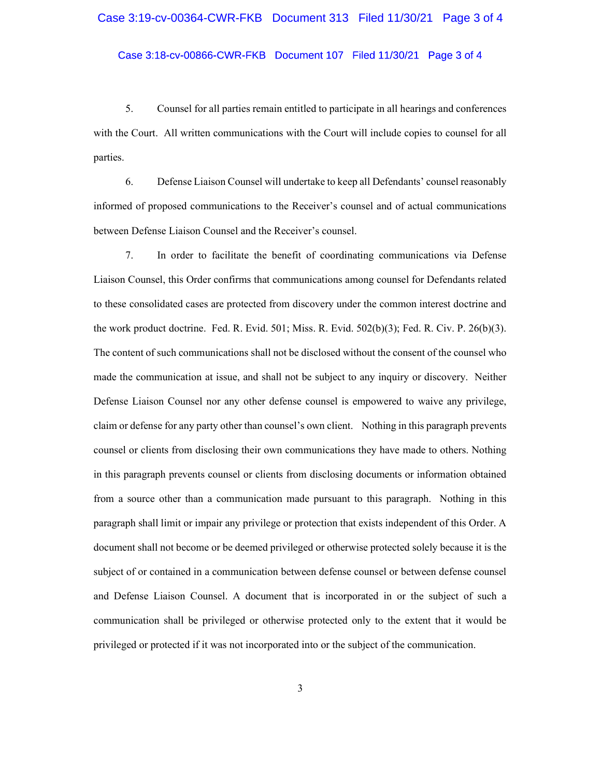#### Case 3:19-cv-00364-CWR-FKB Document 313 Filed 11/30/21 Page 3 of 4

Case 3:18-cv-00866-CWR-FKB Document 107 Filed 11/30/21 Page 3 of 4

5. Counsel for all parties remain entitled to participate in all hearings and conferences with the Court. All written communications with the Court will include copies to counsel for all parties.

6. Defense Liaison Counsel will undertake to keep all Defendants' counsel reasonably informed of proposed communications to the Receiver's counsel and of actual communications between Defense Liaison Counsel and the Receiver's counsel.

7. In order to facilitate the benefit of coordinating communications via Defense Liaison Counsel, this Order confirms that communications among counsel for Defendants related to these consolidated cases are protected from discovery under the common interest doctrine and the work product doctrine. Fed. R. Evid. 501; Miss. R. Evid. 502(b)(3); Fed. R. Civ. P. 26(b)(3). The content of such communications shall not be disclosed without the consent of the counsel who made the communication at issue, and shall not be subject to any inquiry or discovery. Neither Defense Liaison Counsel nor any other defense counsel is empowered to waive any privilege, claim or defense for any party other than counsel's own client. Nothing in this paragraph prevents counsel or clients from disclosing their own communications they have made to others. Nothing in this paragraph prevents counsel or clients from disclosing documents or information obtained from a source other than a communication made pursuant to this paragraph. Nothing in this paragraph shall limit or impair any privilege or protection that exists independent of this Order. A document shall not become or be deemed privileged or otherwise protected solely because it is the subject of or contained in a communication between defense counsel or between defense counsel and Defense Liaison Counsel. A document that is incorporated in or the subject of such a communication shall be privileged or otherwise protected only to the extent that it would be privileged or protected if it was not incorporated into or the subject of the communication.